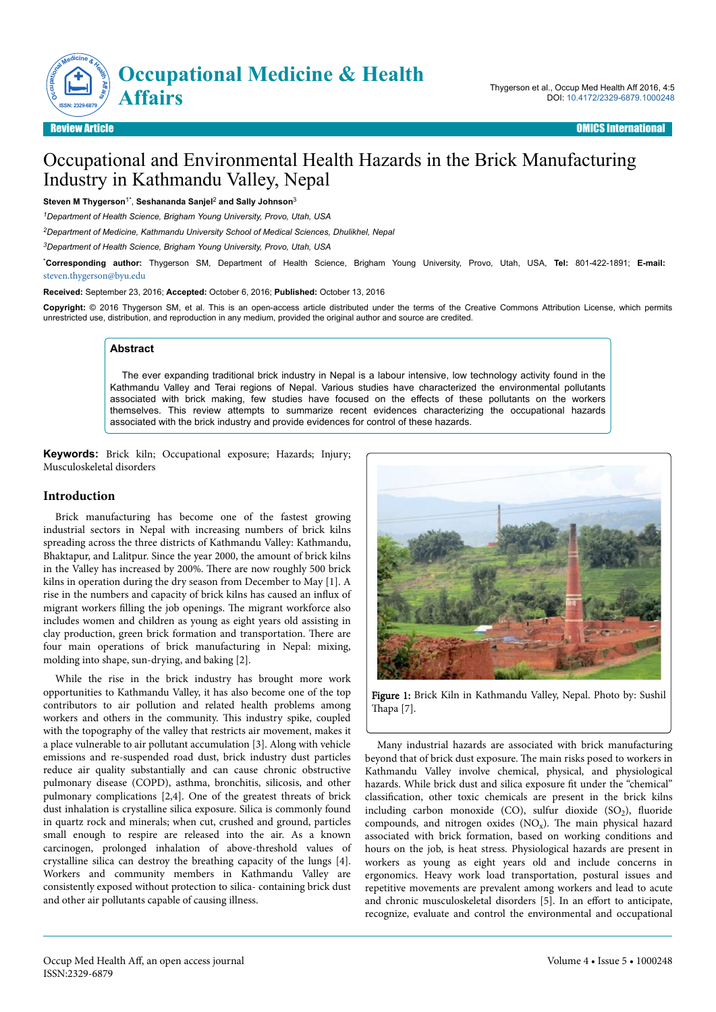

# Occupational and Environmental Health Hazards in the Brick Manufacturing Industry in Kathmandu Valley, Nepal

#### **Steven M Thygerson**1\* , **Seshananda Sanjel**<sup>2</sup> **and Sally Johnson**<sup>3</sup>

*<sup>1</sup>Department of Health Science, Brigham Young University, Provo, Utah, USA*

*<sup>2</sup>Department of Medicine, Kathmandu University School of Medical Sciences, Dhulikhel, Nepal*

*<sup>3</sup>Department of Health Science, Brigham Young University, Provo, Utah, USA*

\***Corresponding author:** Thygerson SM, Department of Health Science, Brigham Young University, Provo, Utah, USA, **Tel:** 801-422-1891; **E-mail:** [steven.thygerson@byu.edu](mailto:steven.thygerson@byu.edu)

**Received:** September 23, 2016; **Accepted:** October 6, 2016; **Published:** October 13, 2016

**Copyright:** © 2016 Thygerson SM, et al. This is an open-access article distributed under the terms of the Creative Commons Attribution License, which permits unrestricted use, distribution, and reproduction in any medium, provided the original author and source are credited.

### **Abstract**

The ever expanding traditional brick industry in Nepal is a labour intensive, low technology activity found in the Kathmandu Valley and Terai regions of Nepal. Various studies have characterized the environmental pollutants associated with brick making, few studies have focused on the effects of these pollutants on the workers themselves. This review attempts to summarize recent evidences characterizing the occupational hazards associated with the brick industry and provide evidences for control of these hazards.

**Keywords:** Brick kiln; Occupational exposure; Hazards; Injury; Musculoskeletal disorders

### **Introduction**

Brick manufacturing has become one of the fastest growing industrial sectors in Nepal with increasing numbers of brick kilns spreading across the three districts of Kathmandu Valley: Kathmandu, Bhaktapur, and Lalitpur. Since the year 2000, the amount of brick kilns in the Valley has increased by 200%. Нere are now roughly 500 brick kilns in operation during the dry season from December to May [1]. A rise in the numbers and capacity of brick kilns has caused an influx of migrant workers filling the job openings. Нe migrant workforce also includes women and children as young as eight years old assisting in clay production, green brick formation and transportation. Нere are four main operations of brick manufacturing in Nepal: mixing, molding into shape, sun-drying, and baking [2].

While the rise in the brick industry has brought more work opportunities to Kathmandu Valley, it has also become one of the top contributors to air pollution and related health problems among workers and others in the community. Нis industry spike, coupled with the topography of the valley that restricts air movement, makes it a place vulnerable to air pollutant accumulation [3]. Along with vehicle emissions and re-suspended road dust, brick industry dust particles reduce air quality substantially and can cause chronic obstructive pulmonary disease (COPD), asthma, bronchitis, silicosis, and other pulmonary complications [2,4]. One of the greatest threats of brick dust inhalation is crystalline silica exposure. Silica is commonly found in quartz rock and minerals; when cut, crushed and ground, particles small enough to respire are released into the air. As a known carcinogen, prolonged inhalation of above-threshold values of crystalline silica can destroy the breathing capacity of the lungs [4]. Workers and community members in Kathmandu Valley are consistently exposed without protection to silica- containing brick dust and other air pollutants capable of causing illness.



Figure 1: Brick Kiln in Kathmandu Valley, Nepal. Photo by: Sushil Thapa<sup>[7]</sup>.

Many industrial hazards are associated with brick manufacturing beyond that of brick dust exposure. Нe main risks posed to workers in Kathmandu Valley involve chemical, physical, and physiological hazards. While brick dust and silica exposure fit under the "chemical" classification, other toxic chemicals are present in the brick kilns including carbon monoxide  $(CO)$ , sulfur dioxide  $(SO_2)$ , fluoride compounds, and nitrogen oxides  $(NO_x)$ . The main physical hazard associated with brick formation, based on working conditions and hours on the job, is heat stress. Physiological hazards are present in workers as young as eight years old and include concerns in ergonomics. Heavy work load transportation, postural issues and repetitive movements are prevalent among workers and lead to acute and chronic musculoskeletal disorders [5]. In an effort to anticipate, recognize, evaluate and control the environmental and occupational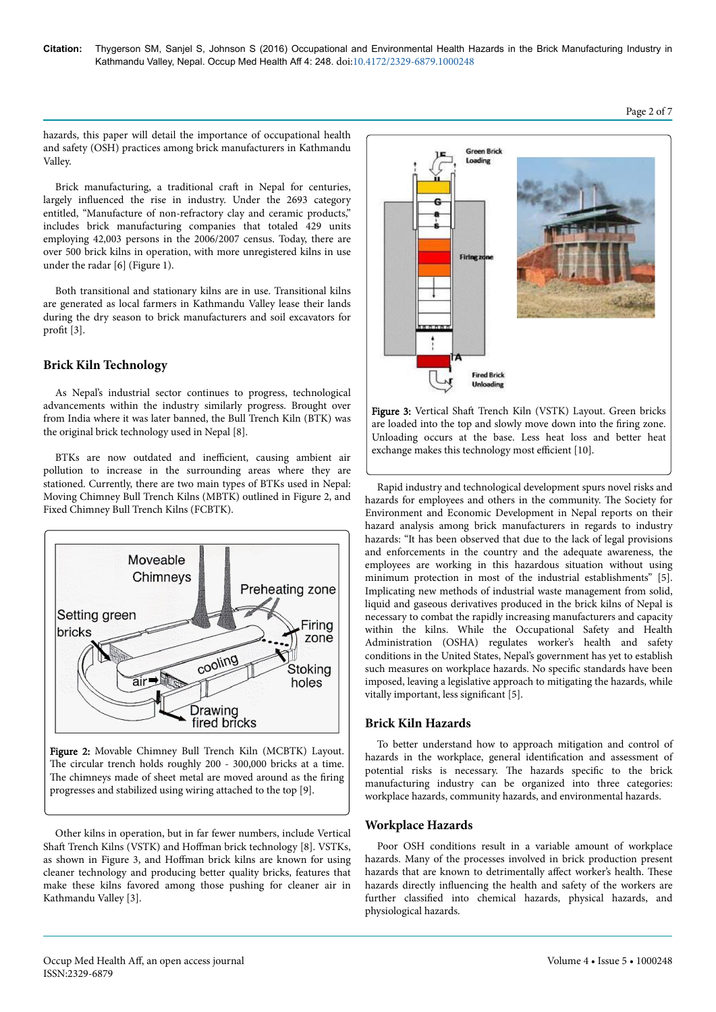hazards, this paper will detail the importance of occupational health and safety (OSH) practices among brick manufacturers in Kathmandu Valley.

Brick manufacturing, a traditional craft in Nepal for centuries, largely influenced the rise in industry. Under the 2693 category entitled, "Manufacture of non-refractory clay and ceramic products," includes brick manufacturing companies that totaled 429 units employing 42,003 persons in the 2006/2007 census. Today, there are over 500 brick kilns in operation, with more unregistered kilns in use under the radar [6] (Figure 1).

Both transitional and stationary kilns are in use. Transitional kilns are generated as local farmers in Kathmandu Valley lease their lands during the dry season to brick manufacturers and soil excavators for profit [3].

# **Brick Kiln Technology**

As Nepal's industrial sector continues to progress, technological advancements within the industry similarly progress. Brought over from India where it was later banned, the Bull Trench Kiln (BTK) was the original brick technology used in Nepal [8].

BTKs are now outdated and inefficient, causing ambient air pollution to increase in the surrounding areas where they are stationed. Currently, there are two main types of BTKs used in Nepal: Moving Chimney Bull Trench Kilns (MBTK) outlined in Figure 2, and Fixed Chimney Bull Trench Kilns (FCBTK).





Other kilns in operation, but in far fewer numbers, include Vertical Shaft Trench Kilns (VSTK) and Hoffman brick technology [8]. VSTKs, as shown in Figure 3, and Hoffman brick kilns are known for using cleaner technology and producing better quality bricks, features that make these kilns favored among those pushing for cleaner air in Kathmandu Valley [3].



Figure 3: Vertical Shaft Trench Kiln (VSTK) Layout. Green bricks are loaded into the top and slowly move down into the firing zone. Unloading occurs at the base. Less heat loss and better heat exchange makes this technology most efficient  $[10]$ .

Rapid industry and technological development spurs novel risks and hazards for employees and others in the community. Нe Society for Environment and Economic Development in Nepal reports on their hazard analysis among brick manufacturers in regards to industry hazards: "It has been observed that due to the lack of legal provisions and enforcements in the country and the adequate awareness, the employees are working in this hazardous situation without using minimum protection in most of the industrial establishments" [5]. Implicating new methods of industrial waste management from solid, liquid and gaseous derivatives produced in the brick kilns of Nepal is necessary to combat the rapidly increasing manufacturers and capacity within the kilns. While the Occupational Safety and Health Administration (OSHA) regulates worker's health and safety conditions in the United States, Nepal's government has yet to establish such measures on workplace hazards. No specific standards have been imposed, leaving a legislative approach to mitigating the hazards, while vitally important, less significant [5].

# **Brick Kiln Hazards**

To better understand how to approach mitigation and control of hazards in the workplace, general identification and assessment of potential risks is necessary. Нe hazards specific to the brick manufacturing industry can be organized into three categories: workplace hazards, community hazards, and environmental hazards.

### **Workplace Hazards**

Poor OSH conditions result in a variable amount of workplace hazards. Many of the processes involved in brick production present hazards that are known to detrimentally affect worker's health. These hazards directly influencing the health and safety of the workers are further classified into chemical hazards, physical hazards, and physiological hazards.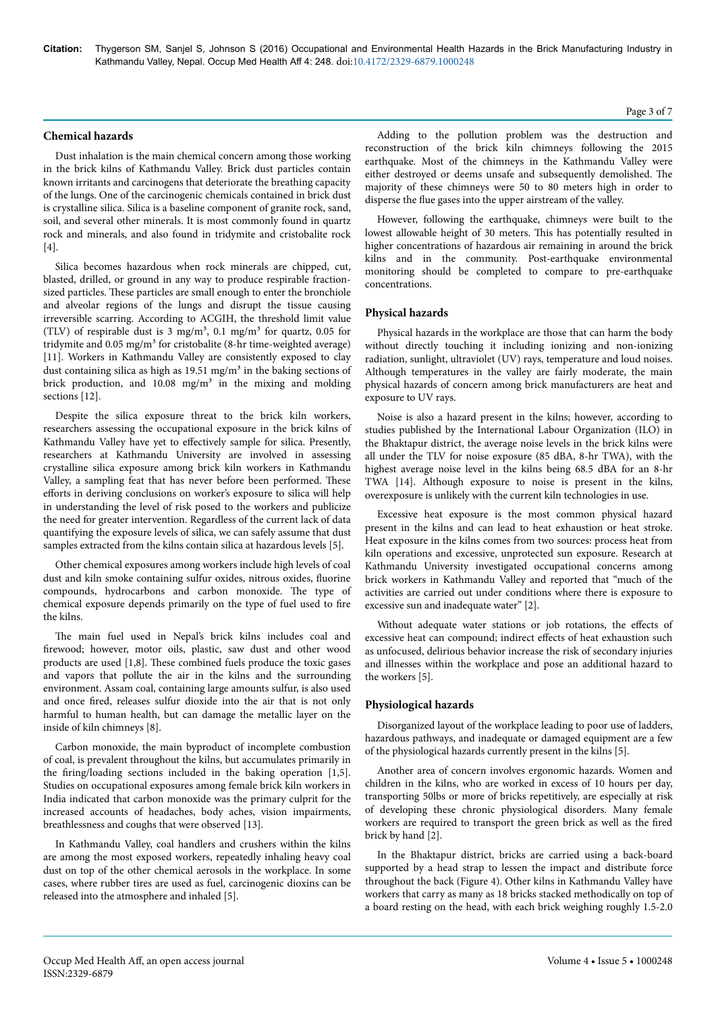**Citation:** Thygerson SM, Sanjel S, Johnson S (2016) Occupational and Environmental Health Hazards in the Brick Manufacturing Industry in Kathmandu Valley, Nepal. Occup Med Health Aff 4: 248. doi:10.4172/2329-6879.1000248

#### **Chemical hazards**

Dust inhalation is the main chemical concern among those working in the brick kilns of Kathmandu Valley. Brick dust particles contain known irritants and carcinogens that deteriorate the breathing capacity of the lungs. One of the carcinogenic chemicals contained in brick dust is crystalline silica. Silica is a baseline component of granite rock, sand, soil, and several other minerals. It is most commonly found in quartz rock and minerals, and also found in tridymite and cristobalite rock  $[4]$ 

Silica becomes hazardous when rock minerals are chipped, cut, blasted, drilled, or ground in any way to produce respirable fractionsized particles. Нese particles are small enough to enter the bronchiole and alveolar regions of the lungs and disrupt the tissue causing irreversible scarring. According to ACGIH, the threshold limit value (TLV) of respirable dust is 3 mg/m<sup>3</sup>, 0.1 mg/m<sup>3</sup> for quartz, 0.05 for tridymite and  $0.05$  mg/m<sup>3</sup> for cristobalite (8-hr time-weighted average) [11]. Workers in Kathmandu Valley are consistently exposed to clay dust containing silica as high as  $19.51$  mg/m<sup>3</sup> in the baking sections of brick production, and  $10.08$  mg/m<sup>3</sup> in the mixing and molding sections [12].

Despite the silica exposure threat to the brick kiln workers, researchers assessing the occupational exposure in the brick kilns of Kathmandu Valley have yet to effectively sample for silica. Presently, researchers at Kathmandu University are involved in assessing crystalline silica exposure among brick kiln workers in Kathmandu Valley, a sampling feat that has never before been performed. Нese efforts in deriving conclusions on worker's exposure to silica will help in understanding the level of risk posed to the workers and publicize the need for greater intervention. Regardless of the current lack of data quantifying the exposure levels of silica, we can safely assume that dust samples extracted from the kilns contain silica at hazardous levels [5].

Other chemical exposures among workers include high levels of coal dust and kiln smoke containing sulfur oxides, nitrous oxides, fluorine compounds, hydrocarbons and carbon monoxide. Нe type of chemical exposure depends primarily on the type of fuel used to fire the kilns.

The main fuel used in Nepal's brick kilns includes coal and firewood; however, motor oils, plastic, saw dust and other wood products are used [1,8]. Нese combined fuels produce the toxic gases and vapors that pollute the air in the kilns and the surrounding environment. Assam coal, containing large amounts sulfur, is also used and once fired, releases sulfur dioxide into the air that is not only harmful to human health, but can damage the metallic layer on the inside of kiln chimneys [8].

Carbon monoxide, the main byproduct of incomplete combustion of coal, is prevalent throughout the kilns, but accumulates primarily in the firing/loading sections included in the baking operation [1,5]. Studies on occupational exposures among female brick kiln workers in India indicated that carbon monoxide was the primary culprit for the increased accounts of headaches, body aches, vision impairments, breathlessness and coughs that were observed [13].

In Kathmandu Valley, coal handlers and crushers within the kilns are among the most exposed workers, repeatedly inhaling heavy coal dust on top of the other chemical aerosols in the workplace. In some cases, where rubber tires are used as fuel, carcinogenic dioxins can be released into the atmosphere and inhaled [5].

Adding to the pollution problem was the destruction and reconstruction of the brick kiln chimneys following the 2015 earthquake. Most of the chimneys in the Kathmandu Valley were either destroyed or deems unsafe and subsequently demolished. Нe majority of these chimneys were 50 to 80 meters high in order to disperse the flue gases into the upper airstream of the valley.

However, following the earthquake, chimneys were built to the lowest allowable height of 30 meters. Нis has potentially resulted in higher concentrations of hazardous air remaining in around the brick kilns and in the community. Post-earthquake environmental monitoring should be completed to compare to pre-earthquake concentrations.

#### **Physical hazards**

Physical hazards in the workplace are those that can harm the body without directly touching it including ionizing and non-ionizing radiation, sunlight, ultraviolet (UV) rays, temperature and loud noises. Although temperatures in the valley are fairly moderate, the main physical hazards of concern among brick manufacturers are heat and exposure to UV rays.

Noise is also a hazard present in the kilns; however, according to studies published by the International Labour Organization (ILO) in the Bhaktapur district, the average noise levels in the brick kilns were all under the TLV for noise exposure (85 dBA, 8-hr TWA), with the highest average noise level in the kilns being 68.5 dBA for an 8-hr TWA [14]. Although exposure to noise is present in the kilns, overexposure is unlikely with the current kiln technologies in use.

Excessive heat exposure is the most common physical hazard present in the kilns and can lead to heat exhaustion or heat stroke. Heat exposure in the kilns comes from two sources: process heat from kiln operations and excessive, unprotected sun exposure. Research at Kathmandu University investigated occupational concerns among brick workers in Kathmandu Valley and reported that "much of the activities are carried out under conditions where there is exposure to excessive sun and inadequate water" [2].

Without adequate water stations or job rotations, the effects of excessive heat can compound; indirect effects of heat exhaustion such as unfocused, delirious behavior increase the risk of secondary injuries and illnesses within the workplace and pose an additional hazard to the workers [5].

#### **Physiological hazards**

Disorganized layout of the workplace leading to poor use of ladders, hazardous pathways, and inadequate or damaged equipment are a few of the physiological hazards currently present in the kilns [5].

Another area of concern involves ergonomic hazards. Women and children in the kilns, who are worked in excess of 10 hours per day, transporting 50lbs or more of bricks repetitively, are especially at risk of developing these chronic physiological disorders. Many female workers are required to transport the green brick as well as the fired brick by hand [2].

In the Bhaktapur district, bricks are carried using a back-board supported by a head strap to lessen the impact and distribute force throughout the back (Figure 4). Other kilns in Kathmandu Valley have workers that carry as many as 18 bricks stacked methodically on top of a board resting on the head, with each brick weighing roughly 1.5-2.0

#### Page 3 of 7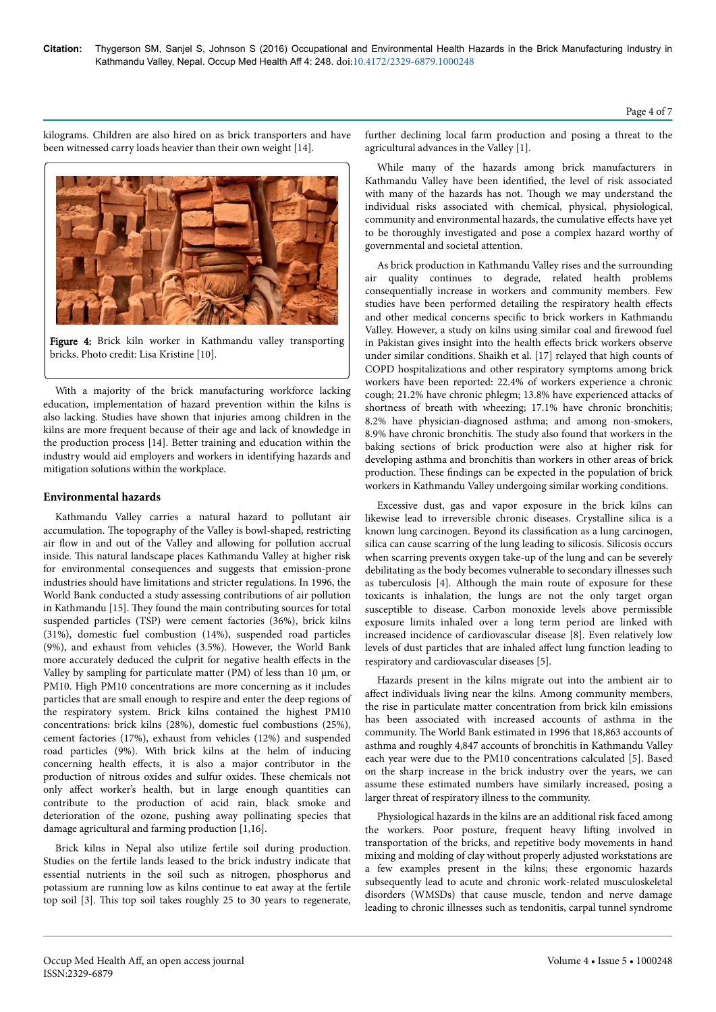kilograms. Children are also hired on as brick transporters and have been witnessed carry loads heavier than their own weight [14].



Figure 4: Brick kiln worker in Kathmandu valley transporting bricks. Photo credit: Lisa Kristine [10].

With a majority of the brick manufacturing workforce lacking education, implementation of hazard prevention within the kilns is also lacking. Studies have shown that injuries among children in the kilns are more frequent because of their age and lack of knowledge in the production process [14]. Better training and education within the industry would aid employers and workers in identifying hazards and mitigation solutions within the workplace.

### **Environmental hazards**

Kathmandu Valley carries a natural hazard to pollutant air accumulation. Нe topography of the Valley is bowl-shaped, restricting air flow in and out of the Valley and allowing for pollution accrual inside. Нis natural landscape places Kathmandu Valley at higher risk for environmental consequences and suggests that emission-prone industries should have limitations and stricter regulations. In 1996, the World Bank conducted a study assessing contributions of air pollution in Kathmandu [15]. Нey found the main contributing sources for total suspended particles (TSP) were cement factories (36%), brick kilns (31%), domestic fuel combustion (14%), suspended road particles (9%), and exhaust from vehicles (3.5%). However, the World Bank more accurately deduced the culprit for negative health effects in the Valley by sampling for particulate matter (PM) of less than 10  $\mu$ m, or PM10. High PM10 concentrations are more concerning as it includes particles that are small enough to respire and enter the deep regions of the respiratory system. Brick kilns contained the highest PM10 concentrations: brick kilns (28%), domestic fuel combustions (25%), cement factories (17%), exhaust from vehicles (12%) and suspended road particles (9%). With brick kilns at the helm of inducing concerning health effects, it is also a major contributor in the production of nitrous oxides and sulfur oxides. Нese chemicals not only affect worker's health, but in large enough quantities can contribute to the production of acid rain, black smoke and deterioration of the ozone, pushing away pollinating species that damage agricultural and farming production [1,16].

Brick kilns in Nepal also utilize fertile soil during production. Studies on the fertile lands leased to the brick industry indicate that essential nutrients in the soil such as nitrogen, phosphorus and potassium are running low as kilns continue to eat away at the fertile top soil [3]. Нis top soil takes roughly 25 to 30 years to regenerate,

further declining local farm production and posing a threat to the agricultural advances in the Valley [1].

While many of the hazards among brick manufacturers in Kathmandu Valley have been identified, the level of risk associated with many of the hazards has not. Нough we may understand the individual risks associated with chemical, physical, physiological, community and environmental hazards, the cumulative effects have yet to be thoroughly investigated and pose a complex hazard worthy of governmental and societal attention.

As brick production in Kathmandu Valley rises and the surrounding air quality continues to degrade, related health problems consequentially increase in workers and community members. Few studies have been performed detailing the respiratory health effects and other medical concerns specific to brick workers in Kathmandu Valley. However, a study on kilns using similar coal and firewood fuel in Pakistan gives insight into the health effects brick workers observe under similar conditions. Shaikh et al. [17] relayed that high counts of COPD hospitalizations and other respiratory symptoms among brick workers have been reported: 22.4% of workers experience a chronic cough; 21.2% have chronic phlegm; 13.8% have experienced attacks of shortness of breath with wheezing; 17.1% have chronic bronchitis; 8.2% have physician-diagnosed asthma; and among non-smokers, 8.9% have chronic bronchitis. Нe study also found that workers in the baking sections of brick production were also at higher risk for developing asthma and bronchitis than workers in other areas of brick production. Нese findings can be expected in the population of brick workers in Kathmandu Valley undergoing similar working conditions.

Excessive dust, gas and vapor exposure in the brick kilns can likewise lead to irreversible chronic diseases. Crystalline silica is a known lung carcinogen. Beyond its classification as a lung carcinogen, silica can cause scarring of the lung leading to silicosis. Silicosis occurs when scarring prevents oxygen take-up of the lung and can be severely debilitating as the body becomes vulnerable to secondary illnesses such as tuberculosis [4]. Although the main route of exposure for these toxicants is inhalation, the lungs are not the only target organ susceptible to disease. Carbon monoxide levels above permissible exposure limits inhaled over a long term period are linked with increased incidence of cardiovascular disease [8]. Even relatively low levels of dust particles that are inhaled affect lung function leading to respiratory and cardiovascular diseases [5].

Hazards present in the kilns migrate out into the ambient air to affect individuals living near the kilns. Among community members, the rise in particulate matter concentration from brick kiln emissions has been associated with increased accounts of asthma in the community. Нe World Bank estimated in 1996 that 18,863 accounts of asthma and roughly 4,847 accounts of bronchitis in Kathmandu Valley each year were due to the PM10 concentrations calculated [5]. Based on the sharp increase in the brick industry over the years, we can assume these estimated numbers have similarly increased, posing a larger threat of respiratory illness to the community.

Physiological hazards in the kilns are an additional risk faced among the workers. Poor posture, frequent heavy lifting involved in transportation of the bricks, and repetitive body movements in hand mixing and molding of clay without properly adjusted workstations are a few examples present in the kilns; these ergonomic hazards subsequently lead to acute and chronic work-related musculoskeletal disorders (WMSDs) that cause muscle, tendon and nerve damage leading to chronic illnesses such as tendonitis, carpal tunnel syndrome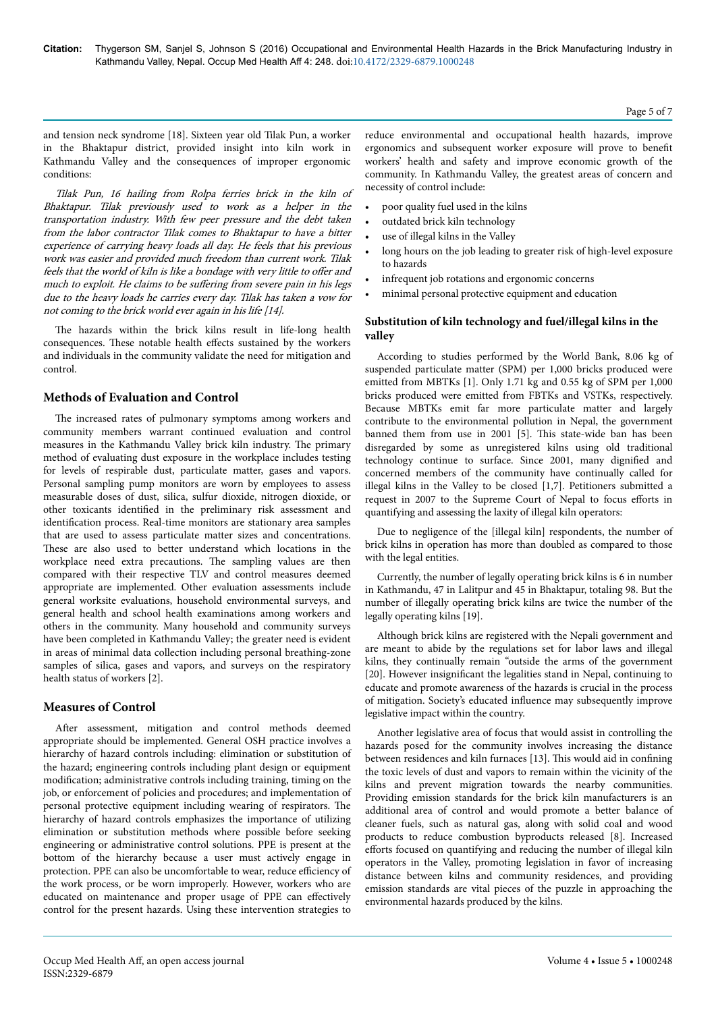and tension neck syndrome [18]. Sixteen year old Tilak Pun, a worker in the Bhaktapur district, provided insight into kiln work in Kathmandu Valley and the consequences of improper ergonomic conditions:

Tilak Pun, 16 hailing from Rolpa ferries brick in the kiln of Bhaktapur. Tilak previously used to work as a helper in the transportation industry. With few peer pressure and the debt taken from the labor contractor Tilak comes to Bhaktapur to have a bitter experience of carrying heavy loads all day. He feels that his previous work was easier and provided much freedom than current work. Tilak feels that the world of kiln is like a bondage with very little to offer and much to exploit. He claims to be suffering from severe pain in his legs due to the heavy loads he carries every day. Tilak has taken a vow for not coming to the brick world ever again in his life [14].

The hazards within the brick kilns result in life-long health consequences. These notable health effects sustained by the workers and individuals in the community validate the need for mitigation and control.

## **Methods of Evaluation and Control**

The increased rates of pulmonary symptoms among workers and community members warrant continued evaluation and control measures in the Kathmandu Valley brick kiln industry. Нe primary method of evaluating dust exposure in the workplace includes testing for levels of respirable dust, particulate matter, gases and vapors. Personal sampling pump monitors are worn by employees to assess measurable doses of dust, silica, sulfur dioxide, nitrogen dioxide, or other toxicants identified in the preliminary risk assessment and identification process. Real-time monitors are stationary area samples that are used to assess particulate matter sizes and concentrations. These are also used to better understand which locations in the workplace need extra precautions. Нe sampling values are then compared with their respective TLV and control measures deemed appropriate are implemented. Other evaluation assessments include general worksite evaluations, household environmental surveys, and general health and school health examinations among workers and others in the community. Many household and community surveys have been completed in Kathmandu Valley; the greater need is evident in areas of minimal data collection including personal breathing-zone samples of silica, gases and vapors, and surveys on the respiratory health status of workers [2].

# **Measures of Control**

After assessment, mitigation and control methods deemed appropriate should be implemented. General OSH practice involves a hierarchy of hazard controls including: elimination or substitution of the hazard; engineering controls including plant design or equipment modification; administrative controls including training, timing on the job, or enforcement of policies and procedures; and implementation of personal protective equipment including wearing of respirators. Нe hierarchy of hazard controls emphasizes the importance of utilizing elimination or substitution methods where possible before seeking engineering or administrative control solutions. PPE is present at the bottom of the hierarchy because a user must actively engage in protection. PPE can also be uncomfortable to wear, reduce efficiency of the work process, or be worn improperly. However, workers who are educated on maintenance and proper usage of PPE can effectively control for the present hazards. Using these intervention strategies to

reduce environmental and occupational health hazards, improve ergonomics and subsequent worker exposure will prove to benefit workers' health and safety and improve economic growth of the community. In Kathmandu Valley, the greatest areas of concern and necessity of control include:

- poor quality fuel used in the kilns
- outdated brick kiln technology
- use of illegal kilns in the Valley
- long hours on the job leading to greater risk of high-level exposure to hazards
- infrequent job rotations and ergonomic concerns
- minimal personal protective equipment and education

# **Substitution of kiln technology and fuel/illegal kilns in the valley**

According to studies performed by the World Bank, 8.06 kg of suspended particulate matter (SPM) per 1,000 bricks produced were emitted from MBTKs [1]. Only 1.71 kg and 0.55 kg of SPM per 1,000 bricks produced were emitted from FBTKs and VSTKs, respectively. Because MBTKs emit far more particulate matter and largely contribute to the environmental pollution in Nepal, the government banned them from use in 2001 [5]. Нis state-wide ban has been disregarded by some as unregistered kilns using old traditional technology continue to surface. Since 2001, many dignified and concerned members of the community have continually called for illegal kilns in the Valley to be closed [1,7]. Petitioners submitted a request in 2007 to the Supreme Court of Nepal to focus efforts in quantifying and assessing the laxity of illegal kiln operators:

Due to negligence of the [illegal kiln] respondents, the number of brick kilns in operation has more than doubled as compared to those with the legal entities.

Currently, the number of legally operating brick kilns is 6 in number in Kathmandu, 47 in Lalitpur and 45 in Bhaktapur, totaling 98. But the number of illegally operating brick kilns are twice the number of the legally operating kilns [19].

Although brick kilns are registered with the Nepali government and are meant to abide by the regulations set for labor laws and illegal kilns, they continually remain "outside the arms of the government [20]. However insignificant the legalities stand in Nepal, continuing to educate and promote awareness of the hazards is crucial in the process of mitigation. Society's educated influence may subsequently improve legislative impact within the country.

Another legislative area of focus that would assist in controlling the hazards posed for the community involves increasing the distance between residences and kiln furnaces [13]. Нis would aid in confining the toxic levels of dust and vapors to remain within the vicinity of the kilns and prevent migration towards the nearby communities. Providing emission standards for the brick kiln manufacturers is an additional area of control and would promote a better balance of cleaner fuels, such as natural gas, along with solid coal and wood products to reduce combustion byproducts released [8]. Increased efforts focused on quantifying and reducing the number of illegal kiln operators in the Valley, promoting legislation in favor of increasing distance between kilns and community residences, and providing emission standards are vital pieces of the puzzle in approaching the environmental hazards produced by the kilns.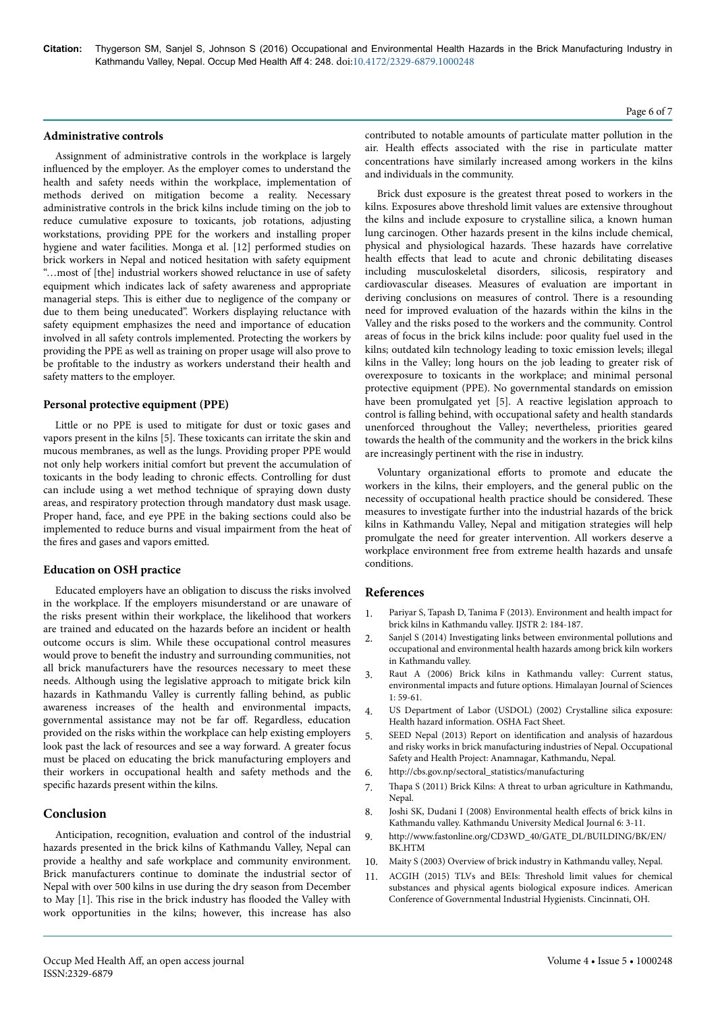**Citation:** Thygerson SM, Sanjel S, Johnson S (2016) Occupational and Environmental Health Hazards in the Brick Manufacturing Industry in Kathmandu Valley, Nepal. Occup Med Health Aff 4: 248. doi:10.4172/2329-6879.1000248

#### **Administrative controls**

Assignment of administrative controls in the workplace is largely influenced by the employer. As the employer comes to understand the health and safety needs within the workplace, implementation of methods derived on mitigation become a reality. Necessary administrative controls in the brick kilns include timing on the job to reduce cumulative exposure to toxicants, job rotations, adjusting workstations, providing PPE for the workers and installing proper hygiene and water facilities. Monga et al. [12] performed studies on brick workers in Nepal and noticed hesitation with safety equipment "…most of [the] industrial workers showed reluctance in use of safety equipment which indicates lack of safety awareness and appropriate managerial steps. Нis is either due to negligence of the company or due to them being uneducated". Workers displaying reluctance with safety equipment emphasizes the need and importance of education involved in all safety controls implemented. Protecting the workers by providing the PPE as well as training on proper usage will also prove to be profitable to the industry as workers understand their health and safety matters to the employer.

#### **Personal protective equipment (PPE)**

Little or no PPE is used to mitigate for dust or toxic gases and vapors present in the kilns [5]. Нese toxicants can irritate the skin and mucous membranes, as well as the lungs. Providing proper PPE would not only help workers initial comfort but prevent the accumulation of toxicants in the body leading to chronic effects. Controlling for dust can include using a wet method technique of spraying down dusty areas, and respiratory protection through mandatory dust mask usage. Proper hand, face, and eye PPE in the baking sections could also be implemented to reduce burns and visual impairment from the heat of the fires and gases and vapors emitted.

#### **Education on OSH practice**

Educated employers have an obligation to discuss the risks involved in the workplace. If the employers misunderstand or are unaware of the risks present within their workplace, the likelihood that workers are trained and educated on the hazards before an incident or health outcome occurs is slim. While these occupational control measures would prove to benefit the industry and surrounding communities, not all brick manufacturers have the resources necessary to meet these needs. Although using the legislative approach to mitigate brick kiln hazards in Kathmandu Valley is currently falling behind, as public awareness increases of the health and environmental impacts, governmental assistance may not be far off. Regardless, education provided on the risks within the workplace can help existing employers look past the lack of resources and see a way forward. A greater focus must be placed on educating the brick manufacturing employers and their workers in occupational health and safety methods and the specific hazards present within the kilns.

### **Conclusion**

Anticipation, recognition, evaluation and control of the industrial hazards presented in the brick kilns of Kathmandu Valley, Nepal can provide a healthy and safe workplace and community environment. Brick manufacturers continue to dominate the industrial sector of Nepal with over 500 kilns in use during the dry season from December to May [1]. Нis rise in the brick industry has flooded the Valley with work opportunities in the kilns; however, this increase has also

Brick dust exposure is the greatest threat posed to workers in the kilns. Exposures above threshold limit values are extensive throughout the kilns and include exposure to crystalline silica, a known human lung carcinogen. Other hazards present in the kilns include chemical, physical and physiological hazards. Нese hazards have correlative health effects that lead to acute and chronic debilitating diseases including musculoskeletal disorders, silicosis, respiratory and cardiovascular diseases. Measures of evaluation are important in deriving conclusions on measures of control. Нere is a resounding need for improved evaluation of the hazards within the kilns in the Valley and the risks posed to the workers and the community. Control areas of focus in the brick kilns include: poor quality fuel used in the kilns; outdated kiln technology leading to toxic emission levels; illegal kilns in the Valley; long hours on the job leading to greater risk of overexposure to toxicants in the workplace; and minimal personal protective equipment (PPE). No governmental standards on emission have been promulgated yet [5]. A reactive legislation approach to control is falling behind, with occupational safety and health standards unenforced throughout the Valley; nevertheless, priorities geared towards the health of the community and the workers in the brick kilns are increasingly pertinent with the rise in industry.

Voluntary organizational efforts to promote and educate the workers in the kilns, their employers, and the general public on the necessity of occupational health practice should be considered. Нese measures to investigate further into the industrial hazards of the brick kilns in Kathmandu Valley, Nepal and mitigation strategies will help promulgate the need for greater intervention. All workers deserve a workplace environment free from extreme health hazards and unsafe conditions.

#### **References**

- 1. Pariyar S, Tapash D, Tanima F (2013). Environment and health impact for brick kilns in Kathmandu valley. IJSTR 2: 184-187.
- 2. Sanjel S (2014) Investigating links between environmental pollutions and occupational and environmental health hazards among brick kiln workers in Kathmandu valley.
- 3. [Raut A \(2006\) Brick kilns in Kathmandu valley: Current status,](http://dx.doi.org/10.3126/hjs.v1i1.189) [environmental impacts and future options. Himalayan Journal of Sciences](http://dx.doi.org/10.3126/hjs.v1i1.189) [1: 59-61.](http://dx.doi.org/10.3126/hjs.v1i1.189)
- [US Department of Labor \(USDOL\) \(2002\) Crystalline silica exposure:](https://www.osha.gov/OshDoc/data_General_Facts/crystalline-factsheet.pdf) [Health hazard information. OSHA Fact Sheet.](https://www.osha.gov/OshDoc/data_General_Facts/crystalline-factsheet.pdf)
- 5. SEED Nepal (2013) Report on identification and analysis of hazardous and risky works in brick manufacturing industries of Nepal. Occupational Safety and Health Project: Anamnagar, Kathmandu, Nepal.
- 6. [http://cbs.gov.np/sectoral\\_statistics/manufacturing](http://cbs.gov.np/sectoral_statistics/manufacturing)
- 7. Нapa [S \(2011\) Brick Kilns: A threat to urban agriculture in Kathmandu,](http://www.cityfarmer.info/2011/08/22/brick-kilns-a-threat-to-urban-agriculture-in-kathmandu-nepal/) [Nepal.](http://www.cityfarmer.info/2011/08/22/brick-kilns-a-threat-to-urban-agriculture-in-kathmandu-nepal/)
- 8. [Joshi SK, Dudani I \(2008\) Environmental health](http://brickclean.net/reports/Report%20Joshi%20-%20Environmental_health_effects_of_brick_kilns_in_Kathmandu_valley.pdf) effects of brick kilns in [Kathmandu valley. Kathmandu University Medical Journal 6: 3-11.](http://brickclean.net/reports/Report%20Joshi%20-%20Environmental_health_effects_of_brick_kilns_in_Kathmandu_valley.pdf)
- 9. [http://www.fastonline.org/CD3WD\\_40/GATE\\_DL/BUILDING/BK/EN/](http://www.fastonline.org/CD3WD_40/GATE_DL/BUILDING/BK/EN/BK.HTM) [BK.HTM](http://www.fastonline.org/CD3WD_40/GATE_DL/BUILDING/BK/EN/BK.HTM)
- 10. [Maity S \(2003\) Overview of brick industry in Kathmandu valley, Nepal.](http://www.devalt.org/newsletter/jun03/of_5.htm)
- 11. ACGIH (2015) TLVs and BEIs: Нreshold limit values for chemical substances and physical agents biological exposure indices. American Conference of Governmental Industrial Hygienists. Cincinnati, OH.